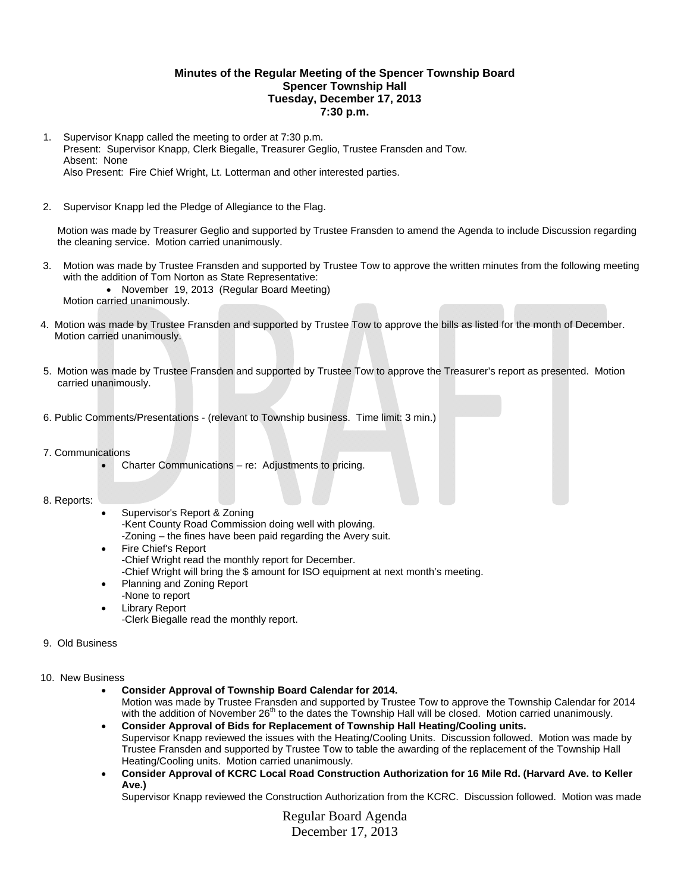## **Minutes of the Regular Meeting of the Spencer Township Board Spencer Township Hall Tuesday, December 17, 2013 7:30 p.m.**

- 1. Supervisor Knapp called the meeting to order at 7:30 p.m. Present: Supervisor Knapp, Clerk Biegalle, Treasurer Geglio, Trustee Fransden and Tow. Absent: None Also Present: Fire Chief Wright, Lt. Lotterman and other interested parties.
- 2. Supervisor Knapp led the Pledge of Allegiance to the Flag.

 Motion was made by Treasurer Geglio and supported by Trustee Fransden to amend the Agenda to include Discussion regarding the cleaning service. Motion carried unanimously.

3. Motion was made by Trustee Fransden and supported by Trustee Tow to approve the written minutes from the following meeting with the addition of Tom Norton as State Representative:

 November 19, 2013 (Regular Board Meeting) Motion carried unanimously.

- 4. Motion was made by Trustee Fransden and supported by Trustee Tow to approve the bills as listed for the month of December. Motion carried unanimously.
- 5. Motion was made by Trustee Fransden and supported by Trustee Tow to approve the Treasurer's report as presented. Motion carried unanimously.
- 6. Public Comments/Presentations (relevant to Township business. Time limit: 3 min.)
- 7. Communications
	- Charter Communications re: Adjustments to pricing.

#### 8. Reports:

- Supervisor's Report & Zoning -Kent County Road Commission doing well with plowing. -Zoning – the fines have been paid regarding the Avery suit.
- Fire Chief's Report -Chief Wright read the monthly report for December. -Chief Wright will bring the \$ amount for ISO equipment at next month's meeting.
- Planning and Zoning Report -None to report
- Library Report
	- -Clerk Biegalle read the monthly report.

# 9. Old Business

#### 10. New Business

**Consider Approval of Township Board Calendar for 2014.** 

Motion was made by Trustee Fransden and supported by Trustee Tow to approve the Township Calendar for 2014 with the addition of November 26<sup>th</sup> to the dates the Township Hall will be closed. Motion carried unanimously.

- **Consider Approval of Bids for Replacement of Township Hall Heating/Cooling units.**  Supervisor Knapp reviewed the issues with the Heating/Cooling Units. Discussion followed. Motion was made by Trustee Fransden and supported by Trustee Tow to table the awarding of the replacement of the Township Hall Heating/Cooling units. Motion carried unanimously.
- **Consider Approval of KCRC Local Road Construction Authorization for 16 Mile Rd. (Harvard Ave. to Keller Ave.)**

Supervisor Knapp reviewed the Construction Authorization from the KCRC. Discussion followed. Motion was made

Regular Board Agenda December 17, 2013